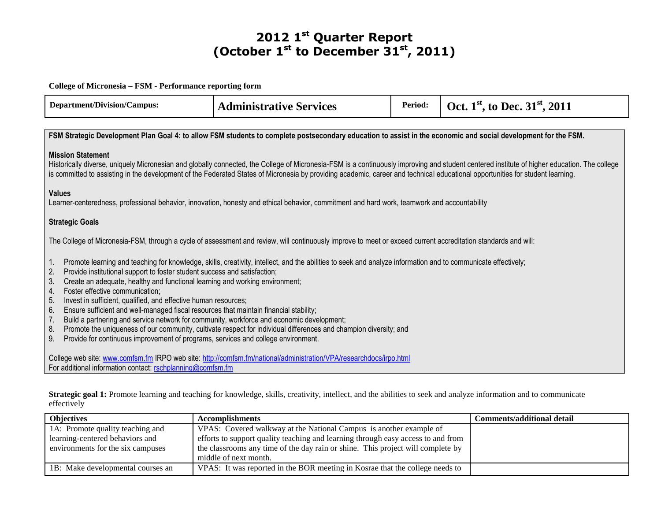## **2012 1st Quarter Report (October 1st to December 31st, 2011)**

## **College of Micronesia – FSM - Performance reporting form**

| <b>Department/Division/Campus:</b>                                                                                                                                                                                                                                                                                                                                                                                                                                                                                                                                                                                                                                                                                                                                                                                                                                                      | <b>Administrative Services</b>                                                                                                                                 | Period: | Oct. 1 <sup>st</sup> , to Dec. 31 <sup>st</sup> , 2011 |  |  |
|-----------------------------------------------------------------------------------------------------------------------------------------------------------------------------------------------------------------------------------------------------------------------------------------------------------------------------------------------------------------------------------------------------------------------------------------------------------------------------------------------------------------------------------------------------------------------------------------------------------------------------------------------------------------------------------------------------------------------------------------------------------------------------------------------------------------------------------------------------------------------------------------|----------------------------------------------------------------------------------------------------------------------------------------------------------------|---------|--------------------------------------------------------|--|--|
| FSM Strategic Development Plan Goal 4: to allow FSM students to complete postsecondary education to assist in the economic and social development for the FSM.                                                                                                                                                                                                                                                                                                                                                                                                                                                                                                                                                                                                                                                                                                                          |                                                                                                                                                                |         |                                                        |  |  |
| <b>Mission Statement</b><br>Historically diverse, uniquely Micronesian and globally connected, the College of Micronesia-FSM is a continuously improving and student centered institute of higher education. The college<br>is committed to assisting in the development of the Federated States of Micronesia by providing academic, career and technical educational opportunities for student learning.                                                                                                                                                                                                                                                                                                                                                                                                                                                                              |                                                                                                                                                                |         |                                                        |  |  |
| <b>Values</b>                                                                                                                                                                                                                                                                                                                                                                                                                                                                                                                                                                                                                                                                                                                                                                                                                                                                           | Learner-centeredness, professional behavior, innovation, honesty and ethical behavior, commitment and hard work, teamwork and accountability                   |         |                                                        |  |  |
| <b>Strategic Goals</b>                                                                                                                                                                                                                                                                                                                                                                                                                                                                                                                                                                                                                                                                                                                                                                                                                                                                  |                                                                                                                                                                |         |                                                        |  |  |
|                                                                                                                                                                                                                                                                                                                                                                                                                                                                                                                                                                                                                                                                                                                                                                                                                                                                                         | The College of Micronesia-FSM, through a cycle of assessment and review, will continuously improve to meet or exceed current accreditation standards and will: |         |                                                        |  |  |
| Promote learning and teaching for knowledge, skills, creativity, intellect, and the abilities to seek and analyze information and to communicate effectively;<br>1.<br>Provide institutional support to foster student success and satisfaction;<br>2.<br>Create an adequate, healthy and functional learning and working environment;<br>3.<br>Foster effective communication;<br>4.<br>Invest in sufficient, qualified, and effective human resources;<br>5.<br>Ensure sufficient and well-managed fiscal resources that maintain financial stability;<br>6.<br>Build a partnering and service network for community, workforce and economic development;<br>7.<br>Promote the uniqueness of our community, cultivate respect for individual differences and champion diversity; and<br>8.<br>Provide for continuous improvement of programs, services and college environment.<br>9. |                                                                                                                                                                |         |                                                        |  |  |
| College web site: www.comfsm.fm IRPO web site: http://comfsm.fm/national/administration/VPA/researchdocs/irpo.html<br>For additional information contact: rschplanning@comfsm.fm                                                                                                                                                                                                                                                                                                                                                                                                                                                                                                                                                                                                                                                                                                        |                                                                                                                                                                |         |                                                        |  |  |

Strategic goal 1: Promote learning and teaching for knowledge, skills, creativity, intellect, and the abilities to seek and analyze information and to communicate effectively

| <b>Objectives</b>                 | <b>Accomplishments</b>                                                           | <b>Comments/additional detail</b> |
|-----------------------------------|----------------------------------------------------------------------------------|-----------------------------------|
| 1A: Promote quality teaching and  | VPAS: Covered walkway at the National Campus is another example of               |                                   |
| learning-centered behaviors and   | efforts to support quality teaching and learning through easy access to and from |                                   |
| environments for the six campuses | the classrooms any time of the day rain or shine. This project will complete by  |                                   |
|                                   | middle of next month.                                                            |                                   |
| 1B: Make developmental courses an | VPAS: It was reported in the BOR meeting in Kosrae that the college needs to     |                                   |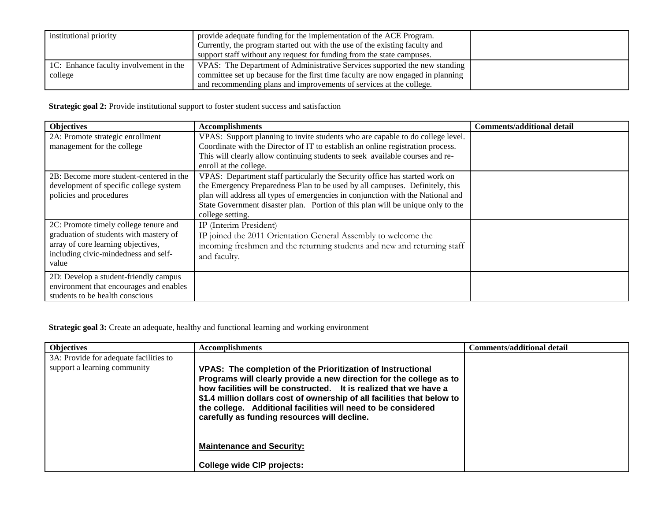| institutional priority                 | provide adequate funding for the implementation of the ACE Program.<br>Currently, the program started out with the use of the existing faculty and |  |
|----------------------------------------|----------------------------------------------------------------------------------------------------------------------------------------------------|--|
|                                        | support staff without any request for funding from the state campuses.                                                                             |  |
| 1C: Enhance faculty involvement in the | VPAS: The Department of Administrative Services supported the new standing                                                                         |  |
| college                                | committee set up because for the first time faculty are now engaged in planning                                                                    |  |
|                                        | and recommending plans and improvements of services at the college.                                                                                |  |

**Strategic goal 2:** Provide institutional support to foster student success and satisfaction

| <b>Objectives</b>                       | <b>Accomplishments</b>                                                          | <b>Comments/additional detail</b> |
|-----------------------------------------|---------------------------------------------------------------------------------|-----------------------------------|
| 2A: Promote strategic enrollment        | VPAS: Support planning to invite students who are capable to do college level.  |                                   |
| management for the college              | Coordinate with the Director of IT to establish an online registration process. |                                   |
|                                         | This will clearly allow continuing students to seek available courses and re-   |                                   |
|                                         | enroll at the college.                                                          |                                   |
| 2B: Become more student-centered in the | VPAS: Department staff particularly the Security office has started work on     |                                   |
| development of specific college system  | the Emergency Preparedness Plan to be used by all campuses. Definitely, this    |                                   |
| policies and procedures                 | plan will address all types of emergencies in conjunction with the National and |                                   |
|                                         | State Government disaster plan. Portion of this plan will be unique only to the |                                   |
|                                         | college setting.                                                                |                                   |
| 2C: Promote timely college tenure and   | IP (Interim President)                                                          |                                   |
| graduation of students with mastery of  | IP joined the 2011 Orientation General Assembly to welcome the                  |                                   |
| array of core learning objectives,      | incoming freshmen and the returning students and new and returning staff        |                                   |
| including civic-mindedness and self-    | and faculty.                                                                    |                                   |
| value                                   |                                                                                 |                                   |
| 2D: Develop a student-friendly campus   |                                                                                 |                                   |
| environment that encourages and enables |                                                                                 |                                   |
| students to be health conscious         |                                                                                 |                                   |

**Strategic goal 3:** Create an adequate, healthy and functional learning and working environment

| <b>Objectives</b>                                                      | <b>Accomplishments</b>                                                                                                                                                                                                                                                                                                                                                                              | Comments/additional detail |
|------------------------------------------------------------------------|-----------------------------------------------------------------------------------------------------------------------------------------------------------------------------------------------------------------------------------------------------------------------------------------------------------------------------------------------------------------------------------------------------|----------------------------|
| 3A: Provide for adequate facilities to<br>support a learning community | VPAS: The completion of the Prioritization of Instructional<br>Programs will clearly provide a new direction for the college as to<br>how facilities will be constructed. It is realized that we have a<br>\$1.4 million dollars cost of ownership of all facilities that below to<br>the college. Additional facilities will need to be considered<br>carefully as funding resources will decline. |                            |
|                                                                        | <b>Maintenance and Security:</b>                                                                                                                                                                                                                                                                                                                                                                    |                            |
|                                                                        | <b>College wide CIP projects:</b>                                                                                                                                                                                                                                                                                                                                                                   |                            |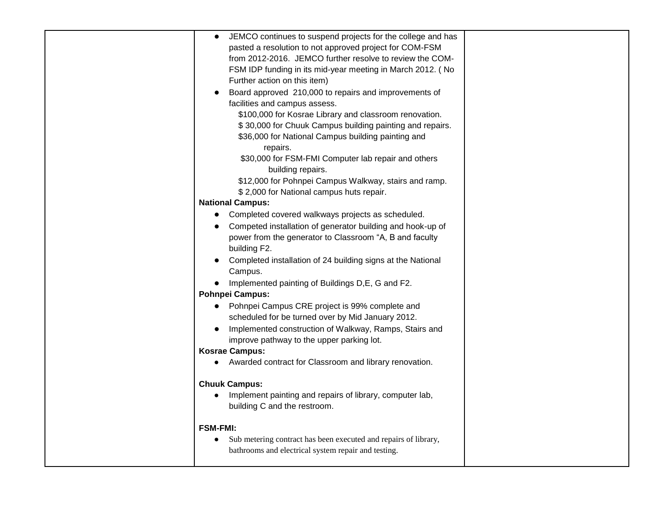| JEMCO continues to suspend projects for the college and has                  |
|------------------------------------------------------------------------------|
| pasted a resolution to not approved project for COM-FSM                      |
| from 2012-2016. JEMCO further resolve to review the COM-                     |
| FSM IDP funding in its mid-year meeting in March 2012. (No                   |
| Further action on this item)                                                 |
| Board approved 210,000 to repairs and improvements of                        |
| facilities and campus assess.                                                |
| \$100,000 for Kosrae Library and classroom renovation.                       |
| \$30,000 for Chuuk Campus building painting and repairs.                     |
| \$36,000 for National Campus building painting and<br>repairs.               |
| \$30,000 for FSM-FMI Computer lab repair and others                          |
| building repairs.                                                            |
| \$12,000 for Pohnpei Campus Walkway, stairs and ramp.                        |
| \$2,000 for National campus huts repair.                                     |
| <b>National Campus:</b>                                                      |
|                                                                              |
| Completed covered walkways projects as scheduled.<br>$\bullet$               |
| Competed installation of generator building and hook-up of                   |
| power from the generator to Classroom "A, B and faculty                      |
| building F2.                                                                 |
| Completed installation of 24 building signs at the National                  |
| Campus.                                                                      |
| Implemented painting of Buildings D, E, G and F2.                            |
| <b>Pohnpei Campus:</b>                                                       |
| Pohnpei Campus CRE project is 99% complete and                               |
| scheduled for be turned over by Mid January 2012.                            |
| Implemented construction of Walkway, Ramps, Stairs and                       |
| improve pathway to the upper parking lot.                                    |
| <b>Kosrae Campus:</b>                                                        |
| Awarded contract for Classroom and library renovation.                       |
| <b>Chuuk Campus:</b>                                                         |
| Implement painting and repairs of library, computer lab,                     |
| building C and the restroom.                                                 |
| <b>FSM-FMI:</b>                                                              |
| Sub metering contract has been executed and repairs of library,<br>$\bullet$ |
| bathrooms and electrical system repair and testing.                          |
|                                                                              |
|                                                                              |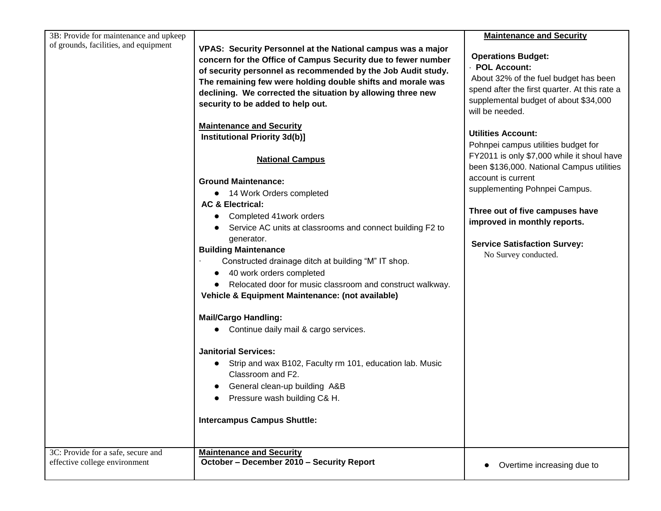| 3B: Provide for maintenance and upkeep                              |                                                                                                                                                                                                                                                                                                                                                                                                                                                                | <b>Maintenance and Security</b>                                                                                                                                                                   |
|---------------------------------------------------------------------|----------------------------------------------------------------------------------------------------------------------------------------------------------------------------------------------------------------------------------------------------------------------------------------------------------------------------------------------------------------------------------------------------------------------------------------------------------------|---------------------------------------------------------------------------------------------------------------------------------------------------------------------------------------------------|
| of grounds, facilities, and equipment                               | VPAS: Security Personnel at the National campus was a major<br>concern for the Office of Campus Security due to fewer number<br>of security personnel as recommended by the Job Audit study.<br>The remaining few were holding double shifts and morale was<br>declining. We corrected the situation by allowing three new<br>security to be added to help out.                                                                                                | <b>Operations Budget:</b><br>- POL Account:<br>About 32% of the fuel budget has been<br>spend after the first quarter. At this rate a<br>supplemental budget of about \$34,000<br>will be needed. |
|                                                                     | <b>Maintenance and Security</b>                                                                                                                                                                                                                                                                                                                                                                                                                                |                                                                                                                                                                                                   |
|                                                                     | <b>Institutional Priority 3d(b)]</b>                                                                                                                                                                                                                                                                                                                                                                                                                           | <b>Utilities Account:</b>                                                                                                                                                                         |
|                                                                     | <b>National Campus</b>                                                                                                                                                                                                                                                                                                                                                                                                                                         | Pohnpei campus utilities budget for<br>FY2011 is only \$7,000 while it shoul have<br>been \$136,000. National Campus utilities                                                                    |
|                                                                     | <b>Ground Maintenance:</b>                                                                                                                                                                                                                                                                                                                                                                                                                                     | account is current                                                                                                                                                                                |
|                                                                     | • 14 Work Orders completed                                                                                                                                                                                                                                                                                                                                                                                                                                     | supplementing Pohnpei Campus.                                                                                                                                                                     |
|                                                                     | <b>AC &amp; Electrical:</b><br>Completed 41 work orders<br>$\bullet$<br>Service AC units at classrooms and connect building F2 to<br>generator.<br><b>Building Maintenance</b><br>Constructed drainage ditch at building "M" IT shop.<br>40 work orders completed<br>• Relocated door for music classroom and construct walkway.<br>Vehicle & Equipment Maintenance: (not available)<br><b>Mail/Cargo Handling:</b><br>• Continue daily mail & cargo services. | Three out of five campuses have<br>improved in monthly reports.<br><b>Service Satisfaction Survey:</b><br>No Survey conducted.                                                                    |
|                                                                     | <b>Janitorial Services:</b><br>Strip and wax B102, Faculty rm 101, education lab. Music<br>Classroom and F2.<br>General clean-up building A&B                                                                                                                                                                                                                                                                                                                  |                                                                                                                                                                                                   |
|                                                                     | Pressure wash building C& H.                                                                                                                                                                                                                                                                                                                                                                                                                                   |                                                                                                                                                                                                   |
|                                                                     | <b>Intercampus Campus Shuttle:</b>                                                                                                                                                                                                                                                                                                                                                                                                                             |                                                                                                                                                                                                   |
| 3C: Provide for a safe, secure and<br>effective college environment | <b>Maintenance and Security</b><br>October - December 2010 - Security Report                                                                                                                                                                                                                                                                                                                                                                                   | Overtime increasing due to                                                                                                                                                                        |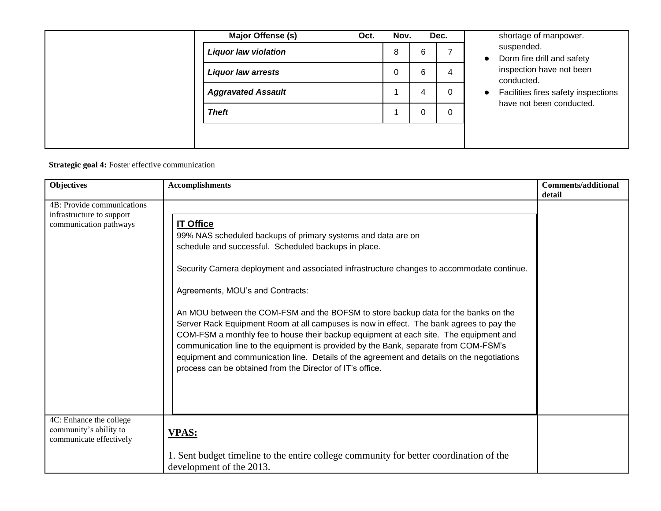|  | Major Offense (s)           | Oct. | Nov. |   | Dec. | shortage of manpower.<br>suspended.              |
|--|-----------------------------|------|------|---|------|--------------------------------------------------|
|  | <b>Liquor law violation</b> |      | 8    | 6 |      | Dorm fire drill and safety<br>$\bullet$          |
|  | <b>Liquor law arrests</b>   |      | 0    | 6 | 4    | inspection have not been<br>conducted.           |
|  | <b>Aggravated Assault</b>   |      |      | 4 | 0    | Facilities fires safety inspections<br>$\bullet$ |
|  | <b>Theft</b>                |      |      | 0 | 0    | have not been conducted.                         |
|  |                             |      |      |   |      |                                                  |

**Strategic goal 4:** Foster effective communication

| <b>Objectives</b>                                                                 | <b>Accomplishments</b>                                                                                                                                                                                                                                                                                                                                                                                                                                                                                                                                                                                                                                                                                                                                                                                 | <b>Comments/additional</b><br>detail |
|-----------------------------------------------------------------------------------|--------------------------------------------------------------------------------------------------------------------------------------------------------------------------------------------------------------------------------------------------------------------------------------------------------------------------------------------------------------------------------------------------------------------------------------------------------------------------------------------------------------------------------------------------------------------------------------------------------------------------------------------------------------------------------------------------------------------------------------------------------------------------------------------------------|--------------------------------------|
| 4B: Provide communications<br>infrastructure to support<br>communication pathways | <b>IT Office</b><br>99% NAS scheduled backups of primary systems and data are on<br>schedule and successful. Scheduled backups in place.<br>Security Camera deployment and associated infrastructure changes to accommodate continue.<br>Agreements, MOU's and Contracts:<br>An MOU between the COM-FSM and the BOFSM to store backup data for the banks on the<br>Server Rack Equipment Room at all campuses is now in effect. The bank agrees to pay the<br>COM-FSM a monthly fee to house their backup equipment at each site. The equipment and<br>communication line to the equipment is provided by the Bank, separate from COM-FSM's<br>equipment and communication line. Details of the agreement and details on the negotiations<br>process can be obtained from the Director of IT's office. |                                      |
| 4C: Enhance the college<br>community's ability to<br>communicate effectively      | <b>VPAS:</b>                                                                                                                                                                                                                                                                                                                                                                                                                                                                                                                                                                                                                                                                                                                                                                                           |                                      |
|                                                                                   | 1. Sent budget timeline to the entire college community for better coordination of the<br>development of the 2013.                                                                                                                                                                                                                                                                                                                                                                                                                                                                                                                                                                                                                                                                                     |                                      |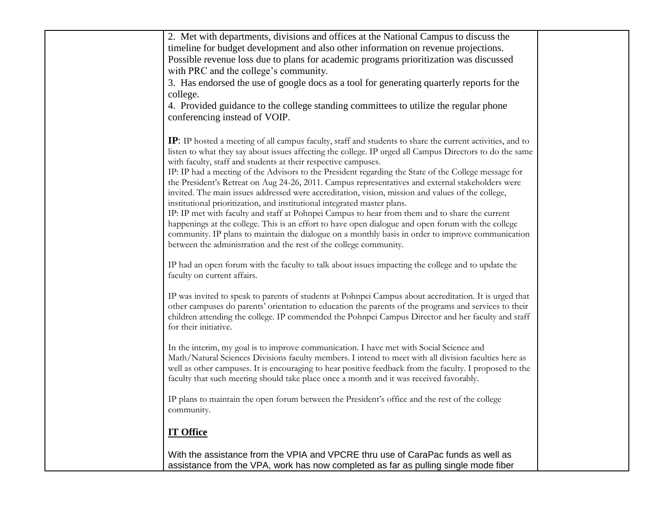| 2. Met with departments, divisions and offices at the National Campus to discuss the                                                                                                                   |  |
|--------------------------------------------------------------------------------------------------------------------------------------------------------------------------------------------------------|--|
| timeline for budget development and also other information on revenue projections.                                                                                                                     |  |
| Possible revenue loss due to plans for academic programs prioritization was discussed                                                                                                                  |  |
| with PRC and the college's community.                                                                                                                                                                  |  |
| 3. Has endorsed the use of google docs as a tool for generating quarterly reports for the                                                                                                              |  |
| college.                                                                                                                                                                                               |  |
| 4. Provided guidance to the college standing committees to utilize the regular phone                                                                                                                   |  |
| conferencing instead of VOIP.                                                                                                                                                                          |  |
|                                                                                                                                                                                                        |  |
| <b>IP</b> : IP hosted a meeting of all campus faculty, staff and students to share the current activities, and to                                                                                      |  |
| listen to what they say about issues affecting the college. IP urged all Campus Directors to do the same                                                                                               |  |
| with faculty, staff and students at their respective campuses.                                                                                                                                         |  |
| IP: IP had a meeting of the Advisors to the President regarding the State of the College message for                                                                                                   |  |
| the President's Retreat on Aug 24-26, 2011. Campus representatives and external stakeholders were<br>invited. The main issues addressed were accreditation, vision, mission and values of the college, |  |
| institutional prioritization, and institutional integrated master plans.                                                                                                                               |  |
| IP: IP met with faculty and staff at Pohnpei Campus to hear from them and to share the current                                                                                                         |  |
| happenings at the college. This is an effort to have open dialogue and open forum with the college                                                                                                     |  |
| community. IP plans to maintain the dialogue on a monthly basis in order to improve communication                                                                                                      |  |
| between the administration and the rest of the college community.                                                                                                                                      |  |
|                                                                                                                                                                                                        |  |
| IP had an open forum with the faculty to talk about issues impacting the college and to update the<br>faculty on current affairs.                                                                      |  |
|                                                                                                                                                                                                        |  |
| IP was invited to speak to parents of students at Pohnpei Campus about accreditation. It is urged that                                                                                                 |  |
| other campuses do parents' orientation to education the parents of the programs and services to their                                                                                                  |  |
| children attending the college. IP commended the Pohnpei Campus Director and her faculty and staff                                                                                                     |  |
| for their initiative.                                                                                                                                                                                  |  |
|                                                                                                                                                                                                        |  |
| In the interim, my goal is to improve communication. I have met with Social Science and<br>Math/Natural Sciences Divisions faculty members. I intend to meet with all division faculties here as       |  |
| well as other campuses. It is encouraging to hear positive feedback from the faculty. I proposed to the                                                                                                |  |
| faculty that such meeting should take place once a month and it was received favorably.                                                                                                                |  |
|                                                                                                                                                                                                        |  |
| IP plans to maintain the open forum between the President's office and the rest of the college                                                                                                         |  |
| community.                                                                                                                                                                                             |  |
|                                                                                                                                                                                                        |  |
| <b>IT Office</b>                                                                                                                                                                                       |  |
| With the assistance from the VPIA and VPCRE thru use of CaraPac funds as well as                                                                                                                       |  |
| assistance from the VPA, work has now completed as far as pulling single mode fiber                                                                                                                    |  |
|                                                                                                                                                                                                        |  |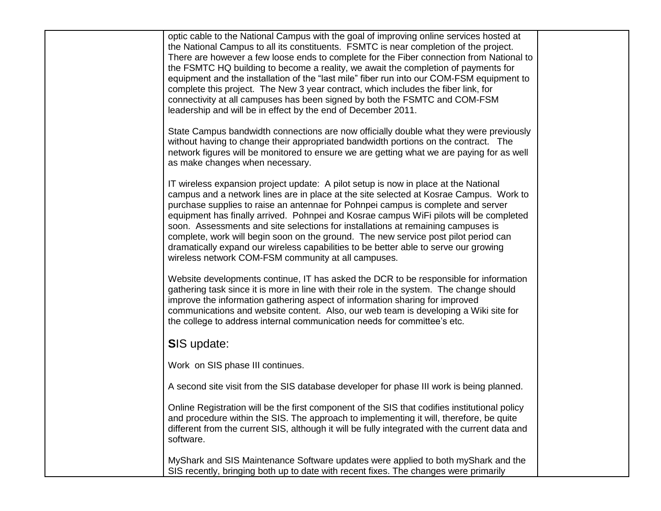| optic cable to the National Campus with the goal of improving online services hosted at<br>the National Campus to all its constituents. FSMTC is near completion of the project.<br>There are however a few loose ends to complete for the Fiber connection from National to<br>the FSMTC HQ building to become a reality, we await the completion of payments for<br>equipment and the installation of the "last mile" fiber run into our COM-FSM equipment to<br>complete this project. The New 3 year contract, which includes the fiber link, for<br>connectivity at all campuses has been signed by both the FSMTC and COM-FSM<br>leadership and will be in effect by the end of December 2011. |  |
|------------------------------------------------------------------------------------------------------------------------------------------------------------------------------------------------------------------------------------------------------------------------------------------------------------------------------------------------------------------------------------------------------------------------------------------------------------------------------------------------------------------------------------------------------------------------------------------------------------------------------------------------------------------------------------------------------|--|
| State Campus bandwidth connections are now officially double what they were previously<br>without having to change their appropriated bandwidth portions on the contract. The<br>network figures will be monitored to ensure we are getting what we are paying for as well<br>as make changes when necessary.                                                                                                                                                                                                                                                                                                                                                                                        |  |
| IT wireless expansion project update: A pilot setup is now in place at the National<br>campus and a network lines are in place at the site selected at Kosrae Campus. Work to<br>purchase supplies to raise an antennae for Pohnpei campus is complete and server<br>equipment has finally arrived. Pohnpei and Kosrae campus WiFi pilots will be completed<br>soon. Assessments and site selections for installations at remaining campuses is<br>complete, work will begin soon on the ground. The new service post pilot period can<br>dramatically expand our wireless capabilities to be better able to serve our growing<br>wireless network COM-FSM community at all campuses.                |  |
| Website developments continue, IT has asked the DCR to be responsible for information<br>gathering task since it is more in line with their role in the system. The change should<br>improve the information gathering aspect of information sharing for improved<br>communications and website content. Also, our web team is developing a Wiki site for<br>the college to address internal communication needs for committee's etc.                                                                                                                                                                                                                                                                |  |
| <b>SIS update:</b>                                                                                                                                                                                                                                                                                                                                                                                                                                                                                                                                                                                                                                                                                   |  |
| Work on SIS phase III continues.                                                                                                                                                                                                                                                                                                                                                                                                                                                                                                                                                                                                                                                                     |  |
| A second site visit from the SIS database developer for phase III work is being planned.                                                                                                                                                                                                                                                                                                                                                                                                                                                                                                                                                                                                             |  |
| Online Registration will be the first component of the SIS that codifies institutional policy<br>and procedure within the SIS. The approach to implementing it will, therefore, be quite<br>different from the current SIS, although it will be fully integrated with the current data and<br>software.                                                                                                                                                                                                                                                                                                                                                                                              |  |
| MyShark and SIS Maintenance Software updates were applied to both myShark and the<br>SIS recently, bringing both up to date with recent fixes. The changes were primarily                                                                                                                                                                                                                                                                                                                                                                                                                                                                                                                            |  |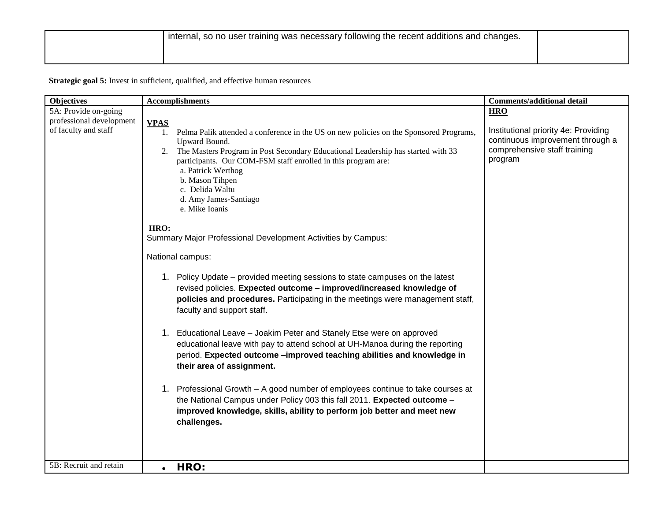**Strategic goal 5:** Invest in sufficient, qualified, and effective human resources

| <b>Objectives</b>        | <b>Accomplishments</b>                                                                                                                                                                                                                                                                                                                                                                                                                                  | <b>Comments/additional detail</b>                                                                                   |
|--------------------------|---------------------------------------------------------------------------------------------------------------------------------------------------------------------------------------------------------------------------------------------------------------------------------------------------------------------------------------------------------------------------------------------------------------------------------------------------------|---------------------------------------------------------------------------------------------------------------------|
| 5A: Provide on-going     |                                                                                                                                                                                                                                                                                                                                                                                                                                                         | <b>HRO</b>                                                                                                          |
| professional development | <b>VPAS</b>                                                                                                                                                                                                                                                                                                                                                                                                                                             |                                                                                                                     |
| of faculty and staff     | Pelma Palik attended a conference in the US on new policies on the Sponsored Programs,<br>1.<br>Upward Bound.<br>The Masters Program in Post Secondary Educational Leadership has started with 33<br>2.<br>participants. Our COM-FSM staff enrolled in this program are:<br>a. Patrick Werthog<br>b. Mason Tihpen<br>c. Delida Waltu<br>d. Amy James-Santiago<br>e. Mike Ioanis<br>HRO:<br>Summary Major Professional Development Activities by Campus: | Institutional priority 4e: Providing<br>continuous improvement through a<br>comprehensive staff training<br>program |
|                          |                                                                                                                                                                                                                                                                                                                                                                                                                                                         |                                                                                                                     |
|                          | National campus:                                                                                                                                                                                                                                                                                                                                                                                                                                        |                                                                                                                     |
|                          | 1. Policy Update – provided meeting sessions to state campuses on the latest<br>revised policies. Expected outcome - improved/increased knowledge of<br>policies and procedures. Participating in the meetings were management staff,<br>faculty and support staff.                                                                                                                                                                                     |                                                                                                                     |
|                          | 1. Educational Leave - Joakim Peter and Stanely Etse were on approved<br>educational leave with pay to attend school at UH-Manoa during the reporting<br>period. Expected outcome -improved teaching abilities and knowledge in<br>their area of assignment.                                                                                                                                                                                            |                                                                                                                     |
|                          | 1. Professional Growth – A good number of employees continue to take courses at<br>the National Campus under Policy 003 this fall 2011. Expected outcome -<br>improved knowledge, skills, ability to perform job better and meet new<br>challenges.                                                                                                                                                                                                     |                                                                                                                     |
| 5B: Recruit and retain   | HRO:<br>$\bullet$                                                                                                                                                                                                                                                                                                                                                                                                                                       |                                                                                                                     |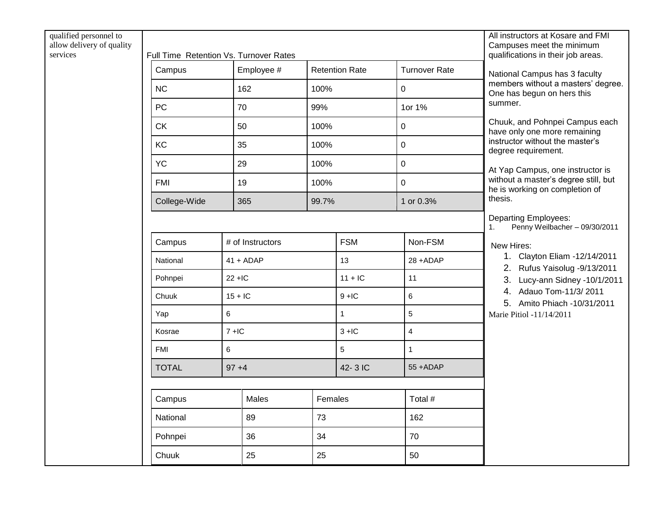| qualified personnel to<br>allow delivery of quality<br>services | Full Time Retention Vs. Turnover Rates |                |                  |       |                       |                      | All instructors at Kosare and FMI<br>Campuses meet the minimum<br>qualifications in their job areas.                                                                                |
|-----------------------------------------------------------------|----------------------------------------|----------------|------------------|-------|-----------------------|----------------------|-------------------------------------------------------------------------------------------------------------------------------------------------------------------------------------|
|                                                                 | Campus                                 |                | Employee #       |       | <b>Retention Rate</b> | <b>Turnover Rate</b> | National Campus has 3 faculty                                                                                                                                                       |
|                                                                 | NC                                     |                | 162              | 100%  |                       | $\mathbf 0$          | members without a masters' degree.<br>One has begun on hers this                                                                                                                    |
|                                                                 | PC                                     |                | 70               | 99%   |                       | 1or 1%               | summer.                                                                                                                                                                             |
|                                                                 | <b>CK</b>                              |                | 50               | 100%  |                       | $\boldsymbol{0}$     | Chuuk, and Pohnpei Campus each<br>have only one more remaining                                                                                                                      |
|                                                                 | KC                                     |                | 35               |       | 100%                  | $\mathbf 0$          | instructor without the master's<br>degree requirement.                                                                                                                              |
|                                                                 | <b>YC</b>                              |                | 29               | 100%  |                       | $\mathbf 0$          | At Yap Campus, one instructor is                                                                                                                                                    |
|                                                                 | <b>FMI</b>                             |                | 19               | 100%  |                       | $\mathbf 0$          | without a master's degree still, but<br>he is working on completion of                                                                                                              |
|                                                                 | College-Wide                           |                | 365              | 99.7% |                       | 1 or 0.3%            | thesis.                                                                                                                                                                             |
|                                                                 |                                        |                |                  |       |                       |                      | <b>Departing Employees:</b><br>Penny Weilbacher - 09/30/2011<br>1.                                                                                                                  |
|                                                                 | Campus                                 |                | # of Instructors |       | <b>FSM</b>            | Non-FSM              | New Hires:                                                                                                                                                                          |
|                                                                 | National                               |                | $41 + ADAP$      |       | 13                    | 28+ADAP              | 1. Clayton Eliam -12/14/2011<br>2. Rufus Yaisolug - 9/13/2011<br>3. Lucy-ann Sidney -10/1/2011<br>4. Adauo Tom-11/3/2011<br>5. Amito Phiach -10/31/2011<br>Marie Pitiol -11/14/2011 |
|                                                                 | Pohnpei                                | $22 + IC$      |                  |       | $11 + IC$             | 11                   |                                                                                                                                                                                     |
|                                                                 | Chuuk                                  | $15 + 1C$      |                  |       | $9 + IC$              | 6                    |                                                                                                                                                                                     |
|                                                                 | Yap                                    | 6              |                  |       | $\mathbf{1}$          | 5                    |                                                                                                                                                                                     |
|                                                                 | Kosrae                                 | $7 + IC$       |                  |       | $3 + IC$              | $\overline{4}$       |                                                                                                                                                                                     |
|                                                                 | <b>FMI</b>                             | $6\phantom{a}$ |                  |       | 5                     | $\mathbf{1}$         |                                                                                                                                                                                     |
|                                                                 | <b>TOTAL</b>                           | $97 + 4$       |                  |       | 42-3 IC               | 55 +ADAP             |                                                                                                                                                                                     |
|                                                                 | Campus                                 |                | Males            |       | Females               | Total #              |                                                                                                                                                                                     |
|                                                                 |                                        |                |                  | 73    |                       |                      |                                                                                                                                                                                     |
|                                                                 | National                               |                | 89               |       |                       | 162                  |                                                                                                                                                                                     |
|                                                                 | Pohnpei                                |                | 36               | 34    |                       | 70                   |                                                                                                                                                                                     |
|                                                                 | Chuuk                                  |                | 25               | 25    |                       | 50                   |                                                                                                                                                                                     |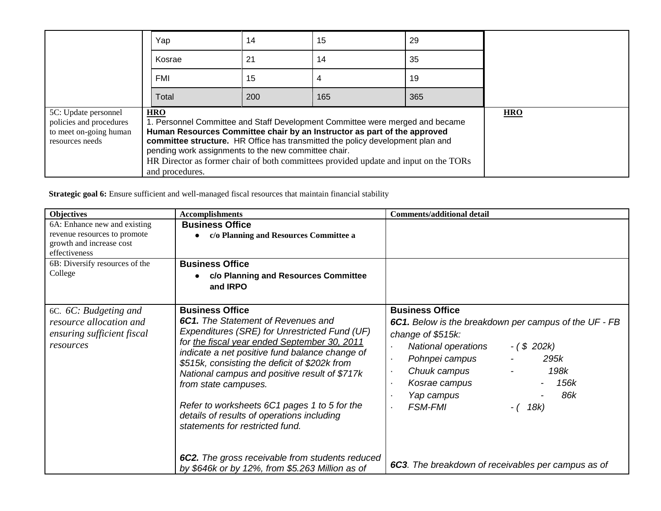|                                                                                              | Yap                                                                                   | 14  | 15                                                                                                                                                                                                                                                                                                                                  | 29  |            |
|----------------------------------------------------------------------------------------------|---------------------------------------------------------------------------------------|-----|-------------------------------------------------------------------------------------------------------------------------------------------------------------------------------------------------------------------------------------------------------------------------------------------------------------------------------------|-----|------------|
|                                                                                              | Kosrae                                                                                | 21  | 14                                                                                                                                                                                                                                                                                                                                  | 35  |            |
|                                                                                              | FMI                                                                                   | 15  |                                                                                                                                                                                                                                                                                                                                     | 19  |            |
|                                                                                              | Total                                                                                 | 200 | 165                                                                                                                                                                                                                                                                                                                                 | 365 |            |
| 5C: Update personnel<br>policies and procedures<br>to meet on-going human<br>resources needs | <b>HRO</b><br>pending work assignments to the new committee chair.<br>and procedures. |     | 1. Personnel Committee and Staff Development Committee were merged and became<br>Human Resources Committee chair by an Instructor as part of the approved<br>committee structure. HR Office has transmitted the policy development plan and<br>HR Director as former chair of both committees provided update and input on the TORs |     | <b>HRO</b> |

Strategic goal 6: Ensure sufficient and well-managed fiscal resources that maintain financial stability

| <b>Objectives</b>                                                                                         | <b>Accomplishments</b>                                                                                                                                                                                                                                                                                                                                                                                                                                                            | <b>Comments/additional detail</b>                                                                                                                                                                                                                                                                                |
|-----------------------------------------------------------------------------------------------------------|-----------------------------------------------------------------------------------------------------------------------------------------------------------------------------------------------------------------------------------------------------------------------------------------------------------------------------------------------------------------------------------------------------------------------------------------------------------------------------------|------------------------------------------------------------------------------------------------------------------------------------------------------------------------------------------------------------------------------------------------------------------------------------------------------------------|
| 6A: Enhance new and existing<br>revenue resources to promote<br>growth and increase cost<br>effectiveness | <b>Business Office</b><br>c/o Planning and Resources Committee a                                                                                                                                                                                                                                                                                                                                                                                                                  |                                                                                                                                                                                                                                                                                                                  |
| 6B: Diversify resources of the<br>College                                                                 | <b>Business Office</b><br>c/o Planning and Resources Committee<br>and <b>IRPO</b>                                                                                                                                                                                                                                                                                                                                                                                                 |                                                                                                                                                                                                                                                                                                                  |
| 6C. 6C: Budgeting and<br>resource allocation and<br>ensuring sufficient fiscal<br>resources               | <b>Business Office</b><br><b>6C1.</b> The Statement of Revenues and<br>Expenditures (SRE) for Unrestricted Fund (UF)<br>for the fiscal year ended September 30, 2011<br>indicate a net positive fund balance change of<br>\$515k, consisting the deficit of \$202k from<br>National campus and positive result of \$717k<br>from state campuses.<br>Refer to worksheets 6C1 pages 1 to 5 for the<br>details of results of operations including<br>statements for restricted fund. | <b>Business Office</b><br>6C1. Below is the breakdown per campus of the UF - FB<br>change of \$515k:<br><b>National operations</b><br>$-(\$ 202k)$<br>Pohnpei campus<br>295k<br>$\blacksquare$<br>198k<br>Chuuk campus<br>156k<br>Kosrae campus<br>86k<br>Yap campus<br><b>FSM-FMI</b><br>18k)<br>$\blacksquare$ |
|                                                                                                           | 6C2. The gross receivable from students reduced<br>by \$646k or by 12%, from \$5.263 Million as of                                                                                                                                                                                                                                                                                                                                                                                | 6C3. The breakdown of receivables per campus as of                                                                                                                                                                                                                                                               |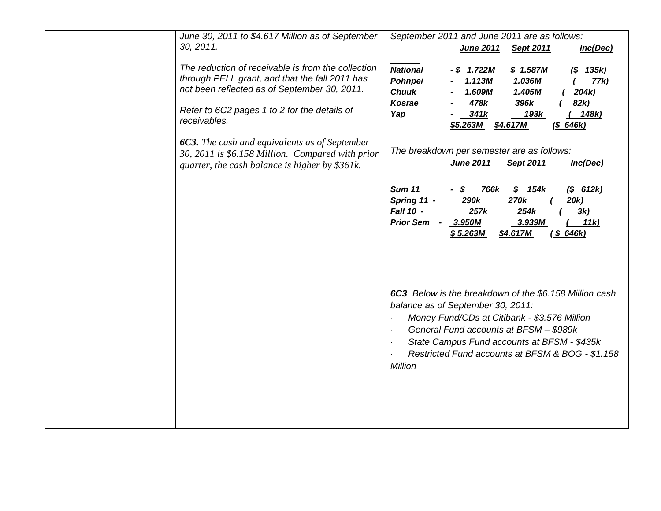| June 30, 2011 to \$4.617 Million as of September<br>30, 2011.                                                                                                                                                        | September 2011 and June 2011 are as follows:<br><b>June 2011</b><br><b>Sept 2011</b><br>Inc(Dec)                                                                                                                                                                                                                                                                                                                                                                                                                       |
|----------------------------------------------------------------------------------------------------------------------------------------------------------------------------------------------------------------------|------------------------------------------------------------------------------------------------------------------------------------------------------------------------------------------------------------------------------------------------------------------------------------------------------------------------------------------------------------------------------------------------------------------------------------------------------------------------------------------------------------------------|
| The reduction of receivable is from the collection<br>through PELL grant, and that the fall 2011 has<br>not been reflected as of September 30, 2011.<br>Refer to 6C2 pages 1 to 2 for the details of<br>receivables. | <b>National</b><br>$-$ \$ 1.722M<br>\$1.587M<br>$(S \t 135k)$<br>Pohnpei<br>1.113M<br>1.036M<br>77k)<br><b>Chuuk</b><br>1.609M<br>1.405M<br>204k<br>478k<br>82k)<br><b>Kosrae</b><br>396k<br>Yap<br>341k<br>193k<br>148k)<br>\$5.263M<br>$($ \$ 646 $k)$<br>\$4.617M                                                                                                                                                                                                                                                   |
| <b>6C3.</b> The cash and equivalents as of September<br>30, 2011 is \$6.158 Million. Compared with prior<br>quarter, the cash balance is higher by \$361k.                                                           | The breakdown per semester are as follows:<br>June 2011<br>Sept 2011<br>Inc(Dec)                                                                                                                                                                                                                                                                                                                                                                                                                                       |
|                                                                                                                                                                                                                      | <b>Sum 11</b><br>$(S$ 612k)<br>S<br>766k<br>\$<br>154k<br>290k<br>270k<br>Spring 11 -<br>20k)<br>Fall 10 -<br>257k<br>254k<br>3k)<br><b>Prior Sem -</b><br>3.950M<br>3.939M<br>11k)<br>\$4.617M<br>(S 646k)<br>\$5.263M<br>6C3. Below is the breakdown of the \$6.158 Million cash<br>balance as of September 30, 2011:<br>Money Fund/CDs at Citibank - \$3.576 Million<br>$\blacksquare$<br>General Fund accounts at BFSM - \$989k<br>$\blacksquare$<br>State Campus Fund accounts at BFSM - \$435k<br>$\blacksquare$ |
|                                                                                                                                                                                                                      | Restricted Fund accounts at BFSM & BOG - \$1.158<br><b>Million</b>                                                                                                                                                                                                                                                                                                                                                                                                                                                     |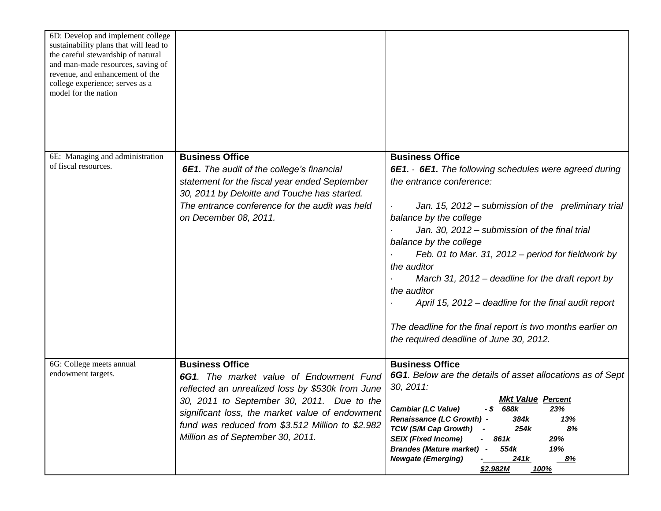| 6D: Develop and implement college<br>sustainability plans that will lead to<br>the careful stewardship of natural<br>and man-made resources, saving of<br>revenue, and enhancement of the<br>college experience; serves as a<br>model for the nation |                                                                                                                                                                                                                                                                                                                 |                                                                                                                                                                                                                                                                                                                                                                                                                                                                                                                                                        |
|------------------------------------------------------------------------------------------------------------------------------------------------------------------------------------------------------------------------------------------------------|-----------------------------------------------------------------------------------------------------------------------------------------------------------------------------------------------------------------------------------------------------------------------------------------------------------------|--------------------------------------------------------------------------------------------------------------------------------------------------------------------------------------------------------------------------------------------------------------------------------------------------------------------------------------------------------------------------------------------------------------------------------------------------------------------------------------------------------------------------------------------------------|
| 6E: Managing and administration                                                                                                                                                                                                                      | <b>Business Office</b>                                                                                                                                                                                                                                                                                          | <b>Business Office</b>                                                                                                                                                                                                                                                                                                                                                                                                                                                                                                                                 |
| of fiscal resources.                                                                                                                                                                                                                                 | <b>6E1.</b> The audit of the college's financial<br>statement for the fiscal year ended September<br>30, 2011 by Deloitte and Touche has started.<br>The entrance conference for the audit was held<br>on December 08, 2011.                                                                                    | 6E1. 6E1. The following schedules were agreed during<br>the entrance conference:<br>Jan. 15, 2012 – submission of the preliminary trial<br>balance by the college<br>Jan. 30, 2012 – submission of the final trial<br>balance by the college<br>Feb. 01 to Mar. 31, 2012 – period for fieldwork by<br>the auditor<br>March 31, 2012 – deadline for the draft report by<br>the auditor<br>April 15, 2012 – deadline for the final audit report<br>The deadline for the final report is two months earlier on<br>the required deadline of June 30, 2012. |
| 6G: College meets annual<br>endowment targets.                                                                                                                                                                                                       | <b>Business Office</b><br>6G1. The market value of Endowment Fund<br>reflected an unrealized loss by \$530k from June<br>30, 2011 to September 30, 2011. Due to the<br>significant loss, the market value of endowment<br>fund was reduced from \$3.512 Million to \$2.982<br>Million as of September 30, 2011. | <b>Business Office</b><br>6G1. Below are the details of asset allocations as of Sept<br>30, 2011:<br><b>Mkt Value Percent</b><br><b>Cambiar (LC Value)</b><br>688k<br>23%<br>- \$<br>Renaissance (LC Growth) -<br>384k<br>13%<br>TCW (S/M Cap Growth)<br>254k<br>8%<br><b>SEIX (Fixed Income)</b><br>861k<br>29%<br><b>Brandes (Mature market)</b><br>554k<br>19%<br>$\overline{\phantom{a}}$<br><b>Newgate (Emerging)</b><br>241k<br><u>8%</u><br>\$2.982M<br><u>100%</u>                                                                             |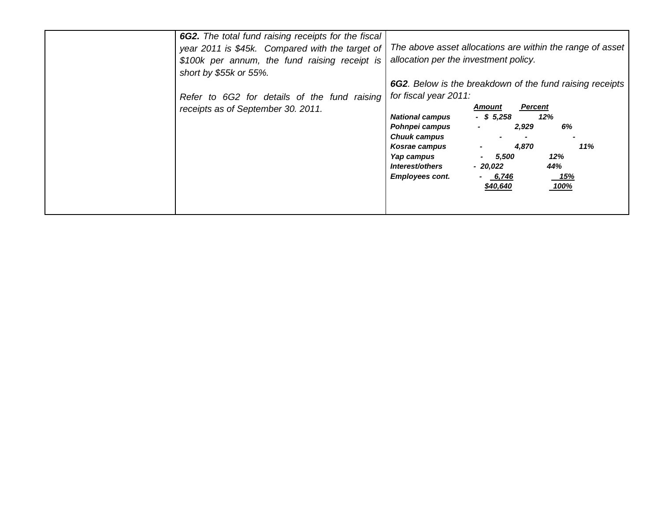| 6G2. The total fund raising receipts for the fiscal |                                                                 |
|-----------------------------------------------------|-----------------------------------------------------------------|
| year 2011 is \$45k. Compared with the target of     | The above asset allocations are within the range of asset       |
| \$100k per annum, the fund raising receipt is       | allocation per the investment policy.                           |
| short by \$55k or 55%.                              |                                                                 |
|                                                     | <b>6G2.</b> Below is the breakdown of the fund raising receipts |
| Refer to 6G2 for details of the fund raising        | for fiscal year 2011:                                           |
| receipts as of September 30. 2011.                  | <b>Amount</b><br><b>Percent</b>                                 |
|                                                     | $-$ \$ 5,258<br>12%<br><b>National campus</b>                   |
|                                                     | 6%<br>Pohnpei campus<br>2,929<br>$\blacksquare$                 |
|                                                     | <b>Chuuk campus</b>                                             |
|                                                     | 11%<br>4,870<br>Kosrae campus                                   |
|                                                     | 12%<br>Yap campus<br>5,500<br>44%<br>Interest/others            |
|                                                     | - 20.022<br><b>Employees cont.</b><br><u>15%</u><br>6,746       |
|                                                     | 100%<br>\$40,640                                                |
|                                                     |                                                                 |
|                                                     |                                                                 |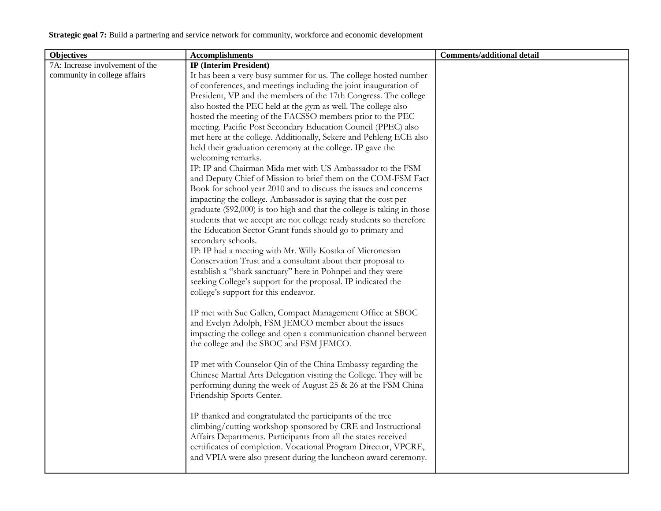| <b>Objectives</b>               | <b>Accomplishments</b>                                                  | <b>Comments/additional detail</b> |
|---------------------------------|-------------------------------------------------------------------------|-----------------------------------|
| 7A: Increase involvement of the | <b>IP</b> (Interim President)                                           |                                   |
| community in college affairs    | It has been a very busy summer for us. The college hosted number        |                                   |
|                                 | of conferences, and meetings including the joint inauguration of        |                                   |
|                                 | President, VP and the members of the 17th Congress. The college         |                                   |
|                                 | also hosted the PEC held at the gym as well. The college also           |                                   |
|                                 | hosted the meeting of the FACSSO members prior to the PEC               |                                   |
|                                 | meeting. Pacific Post Secondary Education Council (PPEC) also           |                                   |
|                                 | met here at the college. Additionally, Sekere and Pehleng ECE also      |                                   |
|                                 | held their graduation ceremony at the college. IP gave the              |                                   |
|                                 | welcoming remarks.                                                      |                                   |
|                                 | IP: IP and Chairman Mida met with US Ambassador to the FSM              |                                   |
|                                 | and Deputy Chief of Mission to brief them on the COM-FSM Fact           |                                   |
|                                 | Book for school year 2010 and to discuss the issues and concerns        |                                   |
|                                 | impacting the college. Ambassador is saying that the cost per           |                                   |
|                                 | graduate (\$92,000) is too high and that the college is taking in those |                                   |
|                                 | students that we accept are not college ready students so therefore     |                                   |
|                                 | the Education Sector Grant funds should go to primary and               |                                   |
|                                 | secondary schools.                                                      |                                   |
|                                 | IP: IP had a meeting with Mr. Willy Kostka of Micronesian               |                                   |
|                                 | Conservation Trust and a consultant about their proposal to             |                                   |
|                                 | establish a "shark sanctuary" here in Pohnpei and they were             |                                   |
|                                 | seeking College's support for the proposal. IP indicated the            |                                   |
|                                 | college's support for this endeavor.                                    |                                   |
|                                 |                                                                         |                                   |
|                                 | IP met with Sue Gallen, Compact Management Office at SBOC               |                                   |
|                                 | and Evelyn Adolph, FSM JEMCO member about the issues                    |                                   |
|                                 | impacting the college and open a communication channel between          |                                   |
|                                 | the college and the SBOC and FSM JEMCO.                                 |                                   |
|                                 | IP met with Counselor Qin of the China Embassy regarding the            |                                   |
|                                 | Chinese Martial Arts Delegation visiting the College. They will be      |                                   |
|                                 | performing during the week of August 25 & 26 at the FSM China           |                                   |
|                                 | Friendship Sports Center.                                               |                                   |
|                                 |                                                                         |                                   |
|                                 | IP thanked and congratulated the participants of the tree               |                                   |
|                                 | climbing/cutting workshop sponsored by CRE and Instructional            |                                   |
|                                 | Affairs Departments. Participants from all the states received          |                                   |
|                                 | certificates of completion. Vocational Program Director, VPCRE,         |                                   |
|                                 | and VPIA were also present during the luncheon award ceremony.          |                                   |
|                                 |                                                                         |                                   |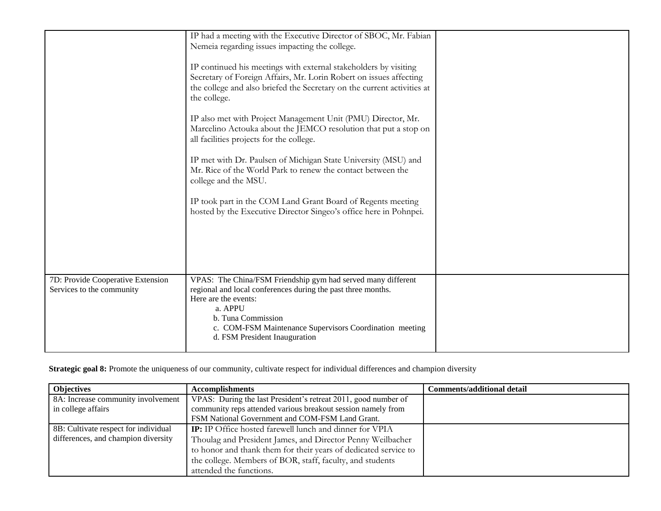|                                                                | IP had a meeting with the Executive Director of SBOC, Mr. Fabian<br>Nemeia regarding issues impacting the college.<br>IP continued his meetings with external stakeholders by visiting<br>Secretary of Foreign Affairs, Mr. Lorin Robert on issues affecting<br>the college and also briefed the Secretary on the current activities at<br>the college.<br>IP also met with Project Management Unit (PMU) Director, Mr.<br>Marcelino Actouka about the JEMCO resolution that put a stop on<br>all facilities projects for the college.<br>IP met with Dr. Paulsen of Michigan State University (MSU) and<br>Mr. Rice of the World Park to renew the contact between the<br>college and the MSU.<br>IP took part in the COM Land Grant Board of Regents meeting<br>hosted by the Executive Director Singeo's office here in Pohnpei. |  |
|----------------------------------------------------------------|-------------------------------------------------------------------------------------------------------------------------------------------------------------------------------------------------------------------------------------------------------------------------------------------------------------------------------------------------------------------------------------------------------------------------------------------------------------------------------------------------------------------------------------------------------------------------------------------------------------------------------------------------------------------------------------------------------------------------------------------------------------------------------------------------------------------------------------|--|
| 7D: Provide Cooperative Extension<br>Services to the community | VPAS: The China/FSM Friendship gym had served many different<br>regional and local conferences during the past three months.<br>Here are the events:<br>a. APPU<br>b. Tuna Commission<br>c. COM-FSM Maintenance Supervisors Coordination meeting<br>d. FSM President Inauguration                                                                                                                                                                                                                                                                                                                                                                                                                                                                                                                                                   |  |

**Strategic goal 8:** Promote the uniqueness of our community, cultivate respect for individual differences and champion diversity

| <b>Objectives</b>                    | <b>Accomplishments</b>                                          | <b>Comments/additional detail</b> |
|--------------------------------------|-----------------------------------------------------------------|-----------------------------------|
| 8A: Increase community involvement   | VPAS: During the last President's retreat 2011, good number of  |                                   |
| in college affairs                   | community reps attended various breakout session namely from    |                                   |
|                                      | FSM National Government and COM-FSM Land Grant.                 |                                   |
| 8B: Cultivate respect for individual | <b>IP:</b> IP Office hosted farewell lunch and dinner for VPIA  |                                   |
| differences, and champion diversity  | Thoulag and President James, and Director Penny Weilbacher      |                                   |
|                                      | to honor and thank them for their years of dedicated service to |                                   |
|                                      | the college. Members of BOR, staff, faculty, and students       |                                   |
|                                      | attended the functions.                                         |                                   |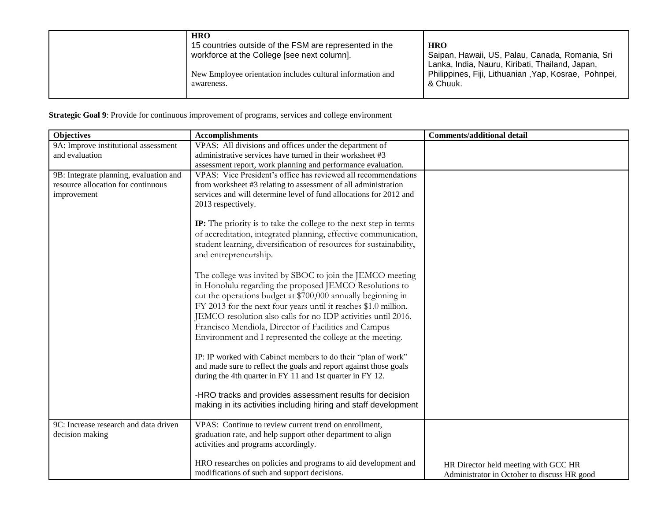| <b>HRO</b>                                                 | <b>HRO</b>                                           |
|------------------------------------------------------------|------------------------------------------------------|
| 15 countries outside of the FSM are represented in the     | Saipan, Hawaii, US, Palau, Canada, Romania, Sri      |
| workforce at the College [see next column].                | Lanka, India, Nauru, Kiribati, Thailand, Japan,      |
| New Employee orientation includes cultural information and | Philippines, Fiji, Lithuanian, Yap, Kosrae, Pohnpei, |
| awareness.                                                 | & Chuuk.                                             |

**Strategic Goal 9**: Provide for continuous improvement of programs, services and college environment

| <b>Objectives</b>                      | <b>Accomplishments</b>                                                                                                         | <b>Comments/additional detail</b>                                                   |
|----------------------------------------|--------------------------------------------------------------------------------------------------------------------------------|-------------------------------------------------------------------------------------|
| 9A: Improve institutional assessment   | VPAS: All divisions and offices under the department of                                                                        |                                                                                     |
| and evaluation                         | administrative services have turned in their worksheet #3                                                                      |                                                                                     |
|                                        | assessment report, work planning and performance evaluation.                                                                   |                                                                                     |
| 9B: Integrate planning, evaluation and | VPAS: Vice President's office has reviewed all recommendations                                                                 |                                                                                     |
| resource allocation for continuous     | from worksheet #3 relating to assessment of all administration                                                                 |                                                                                     |
| improvement                            | services and will determine level of fund allocations for 2012 and                                                             |                                                                                     |
|                                        | 2013 respectively.                                                                                                             |                                                                                     |
|                                        | <b>IP:</b> The priority is to take the college to the next step in terms                                                       |                                                                                     |
|                                        | of accreditation, integrated planning, effective communication,                                                                |                                                                                     |
|                                        | student learning, diversification of resources for sustainability,                                                             |                                                                                     |
|                                        | and entrepreneurship.                                                                                                          |                                                                                     |
|                                        |                                                                                                                                |                                                                                     |
|                                        | The college was invited by SBOC to join the JEMCO meeting                                                                      |                                                                                     |
|                                        | in Honolulu regarding the proposed JEMCO Resolutions to                                                                        |                                                                                     |
|                                        | cut the operations budget at \$700,000 annually beginning in                                                                   |                                                                                     |
|                                        | FY 2013 for the next four years until it reaches \$1.0 million.                                                                |                                                                                     |
|                                        | JEMCO resolution also calls for no IDP activities until 2016.                                                                  |                                                                                     |
|                                        | Francisco Mendiola, Director of Facilities and Campus                                                                          |                                                                                     |
|                                        | Environment and I represented the college at the meeting.                                                                      |                                                                                     |
|                                        |                                                                                                                                |                                                                                     |
|                                        | IP: IP worked with Cabinet members to do their "plan of work"                                                                  |                                                                                     |
|                                        | and made sure to reflect the goals and report against those goals<br>during the 4th quarter in FY 11 and 1st quarter in FY 12. |                                                                                     |
|                                        |                                                                                                                                |                                                                                     |
|                                        | -HRO tracks and provides assessment results for decision                                                                       |                                                                                     |
|                                        | making in its activities including hiring and staff development                                                                |                                                                                     |
|                                        |                                                                                                                                |                                                                                     |
| 9C: Increase research and data driven  | VPAS: Continue to review current trend on enrollment,                                                                          |                                                                                     |
| decision making                        | graduation rate, and help support other department to align                                                                    |                                                                                     |
|                                        | activities and programs accordingly.                                                                                           |                                                                                     |
|                                        | HRO researches on policies and programs to aid development and                                                                 |                                                                                     |
|                                        | modifications of such and support decisions.                                                                                   | HR Director held meeting with GCC HR<br>Administrator in October to discuss HR good |
|                                        |                                                                                                                                |                                                                                     |